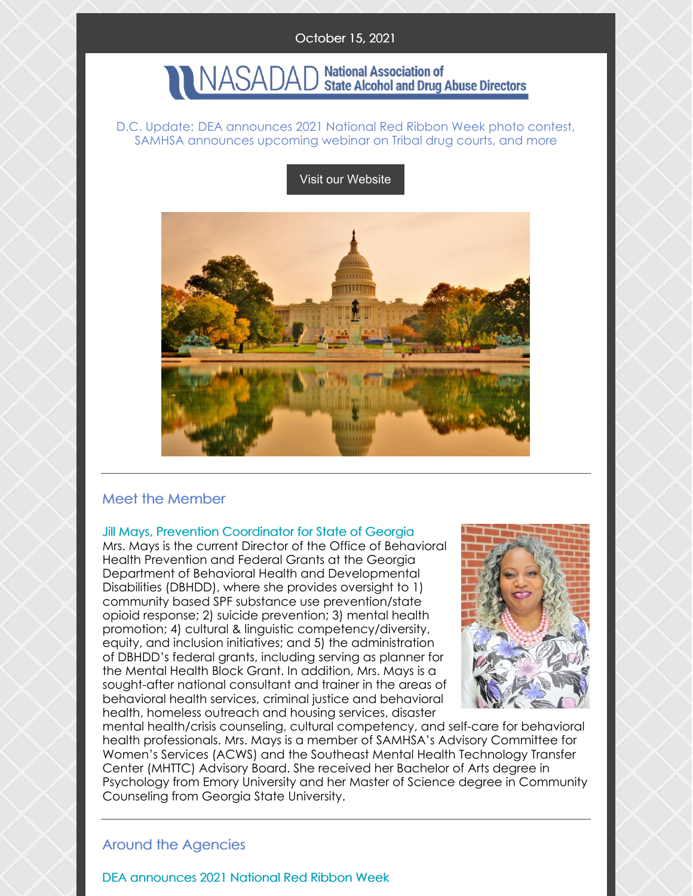## October 15, 2021

#### **National Association of NASADAI State Alcohol and Drug Abuse Directors**

### D.C. Update: DEA announces 2021 National Red Ribbon Week photo contest, SAMHSA announces upcoming webinar on Tribal drug courts, and more

## Visit our [Website](http://www.nasadad.org)



# Meet the Member

### Jill Mays, Prevention Coordinator for State of Georgia

Mrs. Mays is the current Director of the Office of Behavioral Health Prevention and Federal Grants at the Georgia Department of Behavioral Health and Developmental Disabilities (DBHDD), where she provides oversight to 1) community based SPF substance use prevention/state opioid response; 2) suicide prevention; 3) mental health promotion; 4) cultural & linguistic competency/diversity, equity, and inclusion initiatives; and 5) the administration of DBHDD's federal grants, including serving as planner for the Mental Health Block Grant. In addition, Mrs. Mays is a sought-after national consultant and trainer in the areas of behavioral health services, criminal justice and behavioral health, homeless outreach and housing services, disaster



mental health/crisis counseling, cultural competency, and self-care for behavioral health professionals. Mrs. Mays is a member of SAMHSA's Advisory Committee for Women's Services (ACWS) and the Southeast Mental Health Technology Transfer Center (MHTTC) Advisory Board. She received her Bachelor of Arts degree in Psychology from Emory University and her Master of Science degree in Community Counseling from Georgia State University.

## Around the Agencies

DEA announces 2021 National Red Ribbon Week